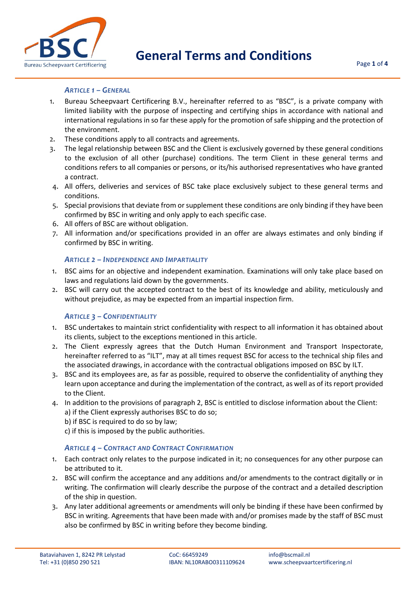

#### *ARTICLE 1 – GENERAL*

- 1. Bureau Scheepvaart Certificering B.V., hereinafter referred to as "BSC", is a private company with limited liability with the purpose of inspecting and certifying ships in accordance with national and international regulations in so far these apply for the promotion of safe shipping and the protection of the environment.
- 2. These conditions apply to all contracts and agreements.
- 3. The legal relationship between BSC and the Client is exclusively governed by these general conditions to the exclusion of all other (purchase) conditions. The term Client in these general terms and conditions refers to all companies or persons, or its/his authorised representatives who have granted a contract.
- 4. All offers, deliveries and services of BSC take place exclusively subject to these general terms and conditions.
- 5. Special provisions that deviate from or supplement these conditions are only binding if they have been confirmed by BSC in writing and only apply to each specific case.
- 6. All offers of BSC are without obligation.
- 7. All information and/or specifications provided in an offer are always estimates and only binding if confirmed by BSC in writing.

#### *ARTICLE 2 – INDEPENDENCE AND IMPARTIALITY*

- 1. BSC aims for an objective and independent examination. Examinations will only take place based on laws and regulations laid down by the governments.
- 2. BSC will carry out the accepted contract to the best of its knowledge and ability, meticulously and without prejudice, as may be expected from an impartial inspection firm.

#### *ARTICLE 3 – CONFIDENTIALITY*

- 1. BSC undertakes to maintain strict confidentiality with respect to all information it has obtained about its clients, subject to the exceptions mentioned in this article.
- 2. The Client expressly agrees that the Dutch Human Environment and Transport Inspectorate, hereinafter referred to as "ILT", may at all times request BSC for access to the technical ship files and the associated drawings, in accordance with the contractual obligations imposed on BSC by ILT.
- 3. BSC and its employees are, as far as possible, required to observe the confidentiality of anything they learn upon acceptance and during the implementation of the contract, as well as of its report provided to the Client.
- 4. In addition to the provisions of paragraph 2, BSC is entitled to disclose information about the Client: a) if the Client expressly authorises BSC to do so;
	- b) if BSC is required to do so by law;
	- c) if this is imposed by the public authorities.

## *ARTICLE 4 – CONTRACT AND CONTRACT CONFIRMATION*

- 1. Each contract only relates to the purpose indicated in it; no consequences for any other purpose can be attributed to it.
- 2. BSC will confirm the acceptance and any additions and/or amendments to the contract digitally or in writing. The confirmation will clearly describe the purpose of the contract and a detailed description of the ship in question.
- 3. Any later additional agreements or amendments will only be binding if these have been confirmed by BSC in writing. Agreements that have been made with and/or promises made by the staff of BSC must also be confirmed by BSC in writing before they become binding.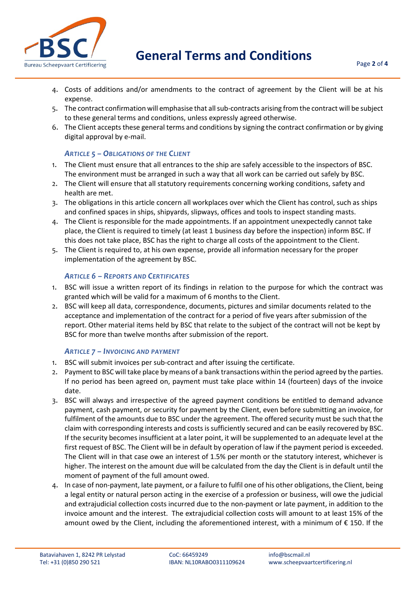

**General Terms and Conditions**

- 4. Costs of additions and/or amendments to the contract of agreement by the Client will be at his expense.
- 5. The contract confirmation will emphasise that all sub-contracts arising from the contract will be subject to these general terms and conditions, unless expressly agreed otherwise.
- 6. The Client accepts these general terms and conditions by signing the contract confirmation or by giving digital approval by e-mail.

# *ARTICLE 5 – OBLIGATIONS OF THE CLIENT*

- 1. The Client must ensure that all entrances to the ship are safely accessible to the inspectors of BSC. The environment must be arranged in such a way that all work can be carried out safely by BSC.
- 2. The Client will ensure that all statutory requirements concerning working conditions, safety and health are met.
- 3. The obligations in this article concern all workplaces over which the Client has control, such as ships and confined spaces in ships, shipyards, slipways, offices and tools to inspect standing masts.
- 4. The Client is responsible for the made appointments. If an appointment unexpectedly cannot take place, the Client is required to timely (at least 1 business day before the inspection) inform BSC. If this does not take place, BSC has the right to charge all costs of the appointment to the Client.
- 5. The Client is required to, at his own expense, provide all information necessary for the proper implementation of the agreement by BSC.

## *ARTICLE 6 – REPORTS AND CERTIFICATES*

- 1. BSC will issue a written report of its findings in relation to the purpose for which the contract was granted which will be valid for a maximum of 6 months to the Client.
- 2. BSC will keep all data, correspondence, documents, pictures and similar documents related to the acceptance and implementation of the contract for a period of five years after submission of the report. Other material items held by BSC that relate to the subject of the contract will not be kept by BSC for more than twelve months after submission of the report.

## *ARTICLE 7 – INVOICING AND PAYMENT*

- 1. BSC will submit invoices per sub-contract and after issuing the certificate.
- 2. Payment to BSC will take place by means of a bank transactions within the period agreed by the parties. If no period has been agreed on, payment must take place within 14 (fourteen) days of the invoice date.
- 3. BSC will always and irrespective of the agreed payment conditions be entitled to demand advance payment, cash payment, or security for payment by the Client, even before submitting an invoice, for fulfilment of the amounts due to BSC under the agreement. The offered security must be such that the claim with corresponding interests and costs is sufficiently secured and can be easily recovered by BSC. If the security becomes insufficient at a later point, it will be supplemented to an adequate level at the first request of BSC. The Client will be in default by operation of law if the payment period is exceeded. The Client will in that case owe an interest of 1.5% per month or the statutory interest, whichever is higher. The interest on the amount due will be calculated from the day the Client is in default until the moment of payment of the full amount owed.
- 4. In case of non-payment, late payment, or a failure to fulfil one of his other obligations, the Client, being a legal entity or natural person acting in the exercise of a profession or business, will owe the judicial and extrajudicial collection costs incurred due to the non-payment or late payment, in addition to the invoice amount and the interest. The extrajudicial collection costs will amount to at least 15% of the amount owed by the Client, including the aforementioned interest, with a minimum of € 150. If the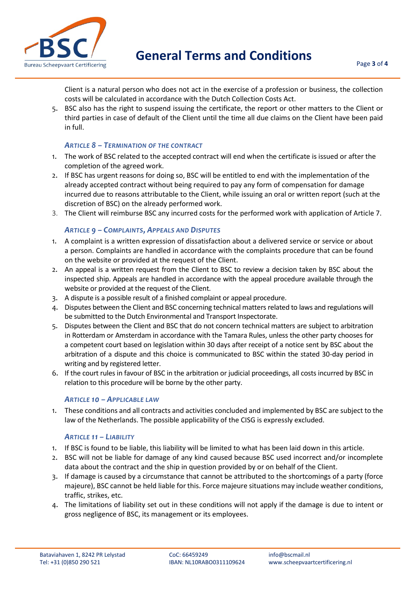

Client is a natural person who does not act in the exercise of a profession or business, the collection costs will be calculated in accordance with the Dutch Collection Costs Act.

5. BSC also has the right to suspend issuing the certificate, the report or other matters to the Client or third parties in case of default of the Client until the time all due claims on the Client have been paid in full.

## *ARTICLE 8 – TERMINATION OF THE CONTRACT*

- 1. The work of BSC related to the accepted contract will end when the certificate is issued or after the completion of the agreed work.
- 2. If BSC has urgent reasons for doing so, BSC will be entitled to end with the implementation of the already accepted contract without being required to pay any form of compensation for damage incurred due to reasons attributable to the Client, while issuing an oral or written report (such at the discretion of BSC) on the already performed work.
- 3. The Client will reimburse BSC any incurred costs for the performed work with application of Article 7.

# *ARTICLE 9 – COMPLAINTS, APPEALS AND DISPUTES*

- 1. A complaint is a written expression of dissatisfaction about a delivered service or service or about a person. Complaints are handled in accordance with the complaints procedure that can be found on the website or provided at the request of the Client.
- 2. An appeal is a written request from the Client to BSC to review a decision taken by BSC about the inspected ship. Appeals are handled in accordance with the appeal procedure available through the website or provided at the request of the Client.
- 3. A dispute is a possible result of a finished complaint or appeal procedure.
- 4. Disputes between the Client and BSC concerning technical matters related to laws and regulations will be submitted to the Dutch Environmental and Transport Inspectorate.
- 5. Disputes between the Client and BSC that do not concern technical matters are subject to arbitration in Rotterdam or Amsterdam in accordance with the Tamara Rules, unless the other party chooses for a competent court based on legislation within 30 days after receipt of a notice sent by BSC about the arbitration of a dispute and this choice is communicated to BSC within the stated 30-day period in writing and by registered letter.
- 6. If the court rules in favour of BSC in the arbitration or judicial proceedings, all costs incurred by BSC in relation to this procedure will be borne by the other party.

## *ARTICLE 10 – APPLICABLE LAW*

1. These conditions and all contracts and activities concluded and implemented by BSC are subject to the law of the Netherlands. The possible applicability of the CISG is expressly excluded.

## *ARTICLE 11 – LIABILITY*

- 1. If BSC is found to be liable, this liability will be limited to what has been laid down in this article.
- 2. BSC will not be liable for damage of any kind caused because BSC used incorrect and/or incomplete data about the contract and the ship in question provided by or on behalf of the Client.
- 3. If damage is caused by a circumstance that cannot be attributed to the shortcomings of a party (force majeure), BSC cannot be held liable for this. Force majeure situations may include weather conditions, traffic, strikes, etc.
- 4. The limitations of liability set out in these conditions will not apply if the damage is due to intent or gross negligence of BSC, its management or its employees.